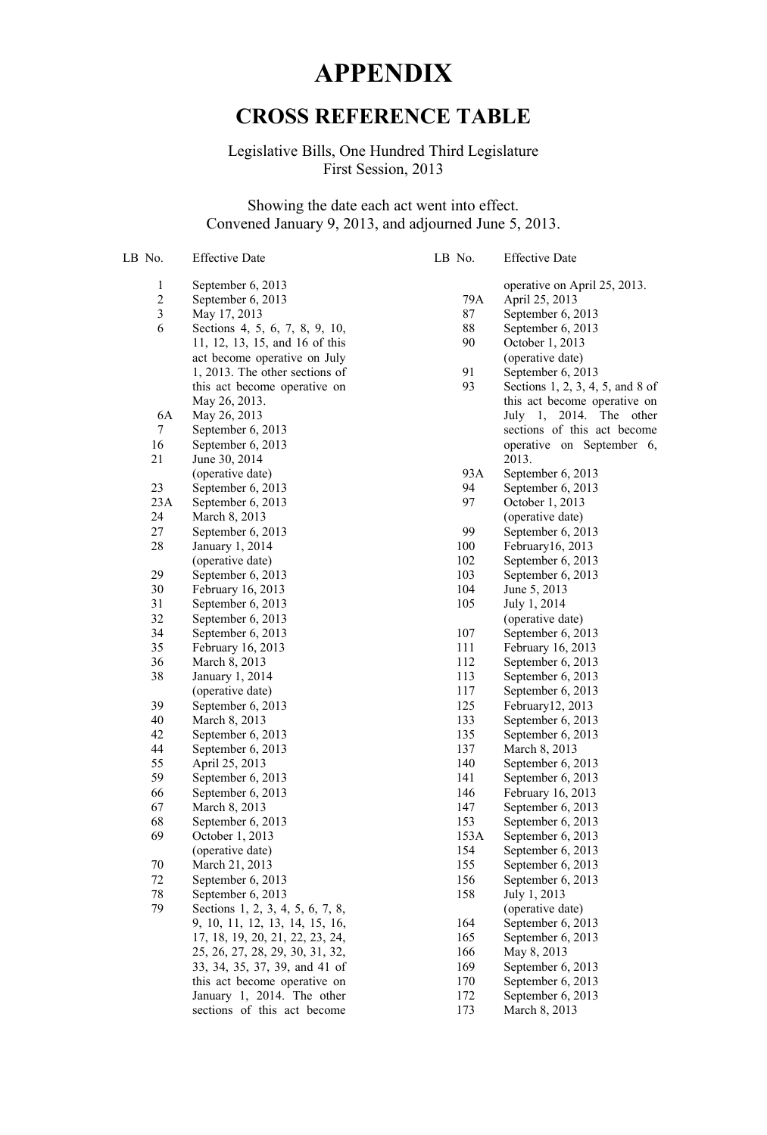## **APPENDIX**

## **CROSS REFERENCE TABLE**

Legislative Bills, One Hundred Third Legislature First Session, 2013

Showing the date each act went into effect. Convened January 9, 2013, and adjourned June 5, 2013.

| LB No.        | <b>Effective Date</b>               | LB No. | <b>Effective Date</b>              |
|---------------|-------------------------------------|--------|------------------------------------|
| 1             | September 6, 2013                   |        | operative on April 25, 2013.       |
|               | September 6, 2013                   | 79A    | April 25, 2013                     |
| $\frac{2}{3}$ | May 17, 2013                        | 87     | September 6, 2013                  |
| 6             | Sections 4, 5, 6, 7, 8, 9, 10,      | 88     | September 6, 2013                  |
|               | 11, 12, 13, 15, and 16 of this      | 90     | October 1, 2013                    |
|               | act become operative on July        |        | (operative date)                   |
|               | 1, 2013. The other sections of      | 91     | September 6, 2013                  |
|               | this act become operative on        | 93     | Sections 1, 2, 3, 4, 5, and 8 of   |
|               | May 26, 2013.                       |        | this act become operative on       |
| 6A            | May 26, 2013                        |        | 2014. The other<br>July 1,         |
| 7             | September 6, 2013                   |        | sections of this act become        |
| 16            | September 6, 2013                   |        | operative on September 6,          |
| 21            | June 30, 2014                       |        | 2013.                              |
|               | (operative date)                    | 93A    | September 6, 2013                  |
| 23            | September 6, 2013                   | 94     | September 6, 2013                  |
| 23A           | September 6, 2013                   | 97     | October 1, 2013                    |
| 24            | March 8, 2013                       |        | (operative date)                   |
| 27            | September 6, 2013                   | 99     | September 6, 2013                  |
| 28            | January 1, 2014                     | 100    | February16, 2013                   |
|               | (operative date)                    | 102    | September 6, 2013                  |
| 29            | September 6, 2013                   | 103    | September 6, 2013                  |
| 30            | February 16, 2013                   | 104    | June 5, 2013                       |
| 31            | September 6, 2013                   | 105    | July 1, 2014                       |
| 32            | September 6, 2013                   |        | (operative date)                   |
| 34            | September 6, 2013                   | 107    | September 6, 2013                  |
| 35            | February 16, 2013                   | 111    | February 16, 2013                  |
| 36            | March 8, 2013                       | 112    | September 6, 2013                  |
| 38            | January 1, 2014                     | 113    | September 6, 2013                  |
|               | (operative date)                    | 117    | September 6, 2013                  |
| 39            | September 6, 2013                   | 125    | February12, 2013                   |
| 40            | March 8, 2013                       | 133    | September 6, 2013                  |
| 42            |                                     | 135    | September 6, 2013                  |
| 44            | September 6, 2013                   | 137    |                                    |
| 55            | September 6, 2013<br>April 25, 2013 | 140    | March 8, 2013<br>September 6, 2013 |
| 59            |                                     | 141    |                                    |
|               | September 6, 2013                   | 146    | September 6, 2013                  |
| 66            | September 6, 2013                   | 147    | February 16, 2013                  |
| 67            | March 8, 2013                       |        | September 6, 2013                  |
| 68            | September 6, 2013                   | 153    | September 6, 2013                  |
| 69            | October 1, 2013                     | 153A   | September 6, 2013                  |
|               | (operative date)                    | 154    | September 6, 2013                  |
| 70            | March 21, 2013                      | 155    | September 6, 2013                  |
| 72            | September 6, 2013                   | 156    | September 6, 2013                  |
| 78            | September 6, 2013                   | 158    | July 1, 2013                       |
| 79            | Sections 1, 2, 3, 4, 5, 6, 7, 8,    |        | (operative date)                   |
|               | 9, 10, 11, 12, 13, 14, 15, 16,      | 164    | September 6, 2013                  |
|               | 17, 18, 19, 20, 21, 22, 23, 24,     | 165    | September 6, 2013                  |
|               | 25, 26, 27, 28, 29, 30, 31, 32,     | 166    | May 8, 2013                        |
|               | 33, 34, 35, 37, 39, and 41 of       | 169    | September 6, 2013                  |
|               | this act become operative on        | 170    | September 6, 2013                  |
|               | January 1, 2014. The other          | 172    | September 6, 2013                  |
|               | sections of this act become         | 173    | March 8, 2013                      |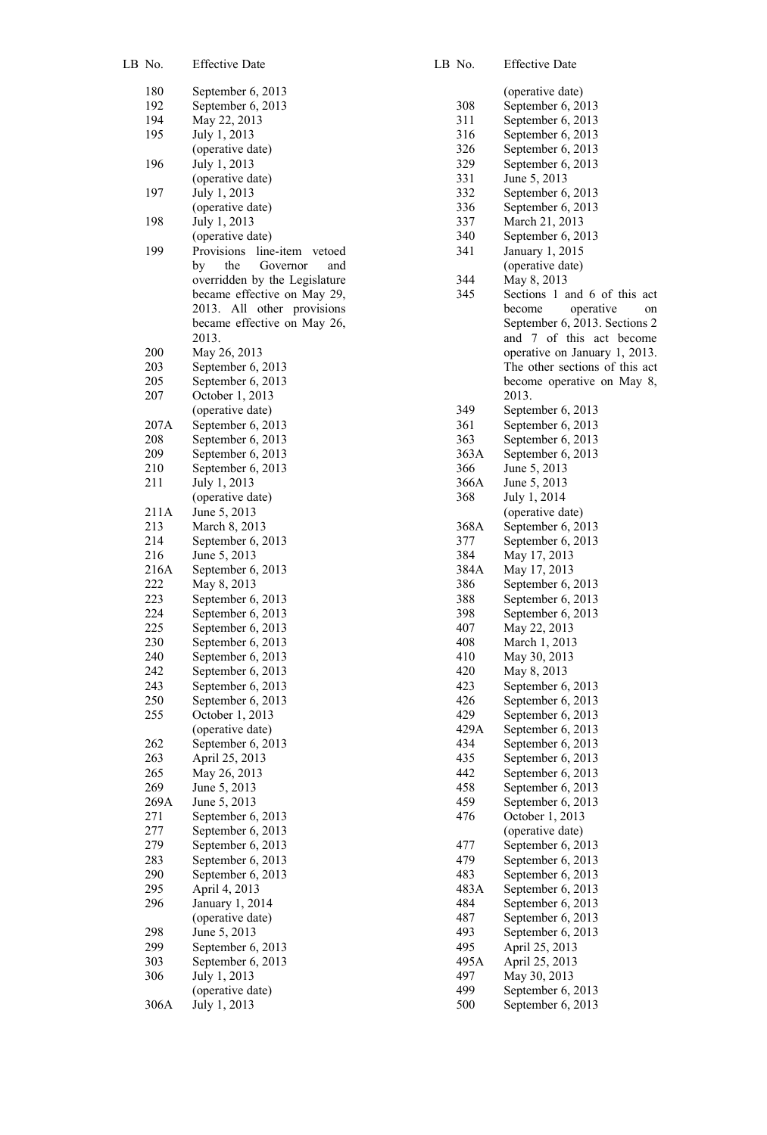| LB No.      | <b>Effective Date</b>                |
|-------------|--------------------------------------|
| 180         | September 6, 2013                    |
| 192         | September 6, 2013                    |
| 194         | May 22, 2013                         |
| 195         | July 1, 2013                         |
|             | (operative date)                     |
| 196         | July 1, 2013                         |
| 197         | (operative date)<br>July 1, 2013     |
|             | (operative date)                     |
| 198         | July 1, 2013<br>(operative date)     |
| 199         | Provisions line-item vetoed          |
|             | the<br>by<br>Governor<br>and         |
|             | overridden by the Legislature        |
|             | became effective on May 29,          |
|             | 2013.<br>All<br>other provisions     |
|             | became effective on May 26,<br>2013. |
| 200         | May 26, 2013                         |
|             |                                      |
| 203         | September 6, 2013                    |
| 205         | September 6, 2013                    |
| 207         | October 1, 2013                      |
|             | (operative date)                     |
| 207A        | September 6, 2013                    |
| 208         | September 6, 2013                    |
| 209         | September 6, 2013                    |
| 210         | September 6, 2013                    |
| 211         | July 1, 2013                         |
|             | (operative date)                     |
| 211A        | June 5, 2013                         |
| 213         | March 8, 2013                        |
| 214         | September 6, 2013                    |
| 216         | June 5, 2013<br>September 6, 2013    |
| 216A<br>222 | May 8, 2013                          |
| 223         | September 6, 2013                    |
| 224         | September 6, 2013                    |
| 225         | September 6, 2013                    |
| 230         | September 6, 2013                    |
| 240         | September 6, 2013                    |
| 242         | September 6, 2013                    |
| 243         | September 6, 2013                    |
| 250         | September 6, 2013                    |
| 255         | October 1, 2013                      |
|             | (operative date)                     |
| 262         | September 6, 2013                    |
| 263         | April 25, 2013                       |
| 265         | May 26, 2013                         |
| 269         | June 5, 2013                         |
| 269A        | June 5, 2013                         |
| 271         | September 6, 2013                    |
| 277         | September 6, 2013                    |
| 279         | September 6, 2013                    |
| 283         | September 6, 2013                    |
| 290         | September 6, 2013                    |
| 295         | April 4, 2013                        |
| 296         | January 1, 2014<br>(operative date)  |
| 298         | June 5, 2013                         |
| 299         | September 6, 2013                    |
| 303         | September 6, 2013                    |
| 306         | July 1, 2013                         |
|             | (operative date)                     |
| 306A        | July 1, 2013                         |

| LB No.     | <b>Effective Date</b>                          |
|------------|------------------------------------------------|
|            | (operative date)                               |
| 308        | September 6, 2013                              |
| 311        | September 6, 2013                              |
| 316        | September 6, 2013                              |
| 326        | September 6, 2013                              |
| 329        | September 6, 2013                              |
| 331        | June 5, 2013                                   |
| 332        | September 6, 2013                              |
| 336        | September 6, 2013                              |
| 337        | March 21, 2013                                 |
| 340        | September 6, 2013                              |
| 341        | January 1, 2015                                |
|            | (operative date)                               |
| 344<br>345 | May 8, 2013<br>and 6 of this act<br>Sections 1 |
|            | operative<br>become                            |
|            | on<br>September 6, 2013. Sections 2            |
|            | and 7 of this act become                       |
|            | operative on January 1, 2013.                  |
|            | The other sections of this act                 |
|            | become operative on May 8,                     |
|            | 2013.                                          |
| 349        | September 6, 2013                              |
| 361        | September 6, 2013                              |
| 363        | September 6, 2013                              |
| 363A       | September 6, 2013                              |
| 366        | June 5, 2013                                   |
| 366A       | June 5, 2013                                   |
| 368        | July 1, 2014                                   |
|            | (operative date)                               |
| 368A       | September 6, 2013                              |
| 377        | September 6, 2013                              |
| 384        | May 17, 2013                                   |
| 384A       | May 17, 2013                                   |
| 386<br>388 | September 6, 2013                              |
| 398        | September 6, 2013<br>September 6, 2013         |
| 407        | May 22, 2013                                   |
| 408        | March 1, 2013                                  |
| 410        | May 30, 2013                                   |
| 420        | May 8, 2013                                    |
| 423        | September 6, 2013                              |
| 426        | September 6, 2013                              |
| 429        | September 6, 2013                              |
| 429A       | September 6, 2013                              |
| 434        | September 6, 2013                              |
| 435        | September 6, 2013                              |
| 442        | September 6, 2013                              |
| 458        | September 6, 2013                              |
| 459        | September 6, 2013                              |
| 476        | October 1, 2013                                |
|            | (operative date)                               |
| 477<br>479 | September 6, 2013<br>September 6, 2013         |
| 483        | September 6, 2013                              |
| 483A       | September 6, 2013                              |
| 484        | September 6, 2013                              |
| 487        | September 6, 2013                              |
| 493        | September 6, 2013                              |
| 495        | April 25, 2013                                 |
| 495A       | April 25, 2013                                 |
| 497        | May 30, 2013                                   |
| 499        | September 6, 2013                              |
| 500        | September 6, 2013                              |